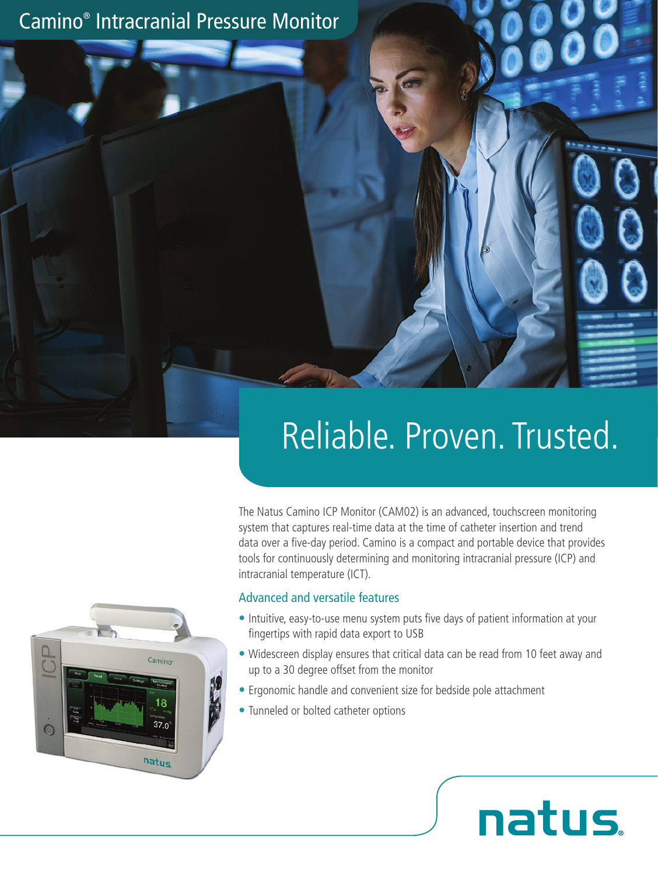

# Reliable. Proven. Trusted.

The Natus Camino ICP Monitor (CAM02) is an advanced, touchscreen monitoring system that captures real-time data at the time of catheter insertion and trend data over a five-day period. Camino is a compact and portable device that provides tools for continuously determining and monitoring intracranial pressure (ICP) and intracranial temperature (ICT).

#### Advanced and versatile features

- Intuitive, easy-to-use menu system puts five days of patient information at your fingertips with rapid data export to USB
- Widescreen display ensures that critical data can be read from 10 feet away and up to a 30 degree offset from the monitor

natus.

- Ergonomic handle and convenient size for bedside pole attachment
- Tunneled or bolted catheter options